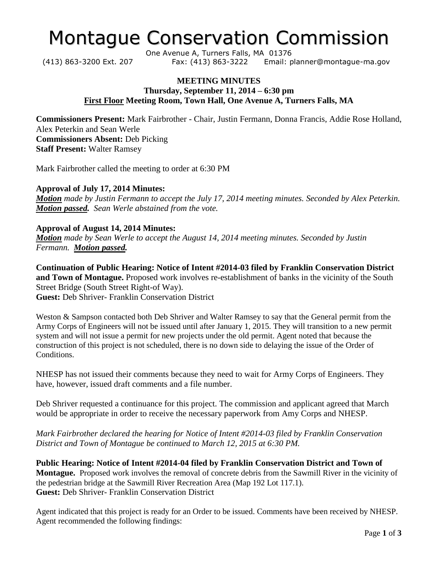# Montague Conservation Commission

One Avenue A, Turners Falls, MA 01376 (413) 863-3200 Ext. 207 Fax: (413) 863-3222 Email: planner@montague-ma.gov

## **MEETING MINUTES Thursday, September 11, 2014 – 6:30 pm First Floor Meeting Room, Town Hall, One Avenue A, Turners Falls, MA**

**Commissioners Present:** Mark Fairbrother - Chair, Justin Fermann, Donna Francis, Addie Rose Holland, Alex Peterkin and Sean Werle **Commissioners Absent:** Deb Picking **Staff Present:** Walter Ramsey

Mark Fairbrother called the meeting to order at 6:30 PM

**Approval of July 17, 2014 Minutes:** *Motion made by Justin Fermann to accept the July 17, 2014 meeting minutes. Seconded by Alex Peterkin. Motion passed. Sean Werle abstained from the vote.*

## **Approval of August 14, 2014 Minutes:**

*Motion made by Sean Werle to accept the August 14, 2014 meeting minutes. Seconded by Justin Fermann. Motion passed.* 

**Continuation of Public Hearing: Notice of Intent #2014-03 filed by Franklin Conservation District and Town of Montague.** Proposed work involves re-establishment of banks in the vicinity of the South Street Bridge (South Street Right-of Way). **Guest:** Deb Shriver- Franklin Conservation District

Weston & Sampson contacted both Deb Shriver and Walter Ramsey to say that the General permit from the Army Corps of Engineers will not be issued until after January 1, 2015. They will transition to a new permit system and will not issue a permit for new projects under the old permit. Agent noted that because the construction of this project is not scheduled, there is no down side to delaying the issue of the Order of Conditions.

NHESP has not issued their comments because they need to wait for Army Corps of Engineers. They have, however, issued draft comments and a file number.

Deb Shriver requested a continuance for this project. The commission and applicant agreed that March would be appropriate in order to receive the necessary paperwork from Amy Corps and NHESP.

*Mark Fairbrother declared the hearing for Notice of Intent #2014-03 filed by Franklin Conservation District and Town of Montague be continued to March 12, 2015 at 6:30 PM.* 

**Public Hearing: Notice of Intent #2014-04 filed by Franklin Conservation District and Town of Montague.** Proposed work involves the removal of concrete debris from the Sawmill River in the vicinity of the pedestrian bridge at the Sawmill River Recreation Area (Map 192 Lot 117.1). **Guest:** Deb Shriver- Franklin Conservation District

Agent indicated that this project is ready for an Order to be issued. Comments have been received by NHESP. Agent recommended the following findings: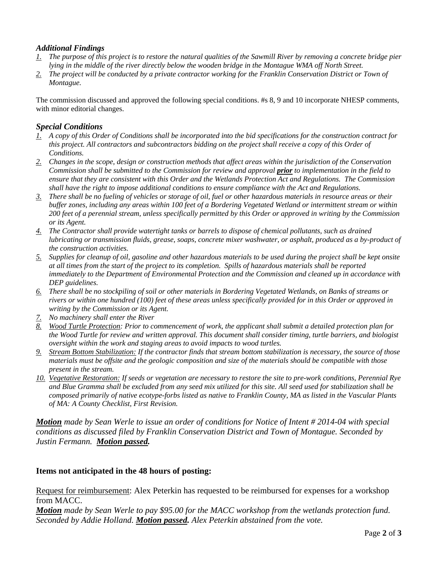### *Additional Findings*

- *1. The purpose of this project is to restore the natural qualities of the Sawmill River by removing a concrete bridge pier lying in the middle of the river directly below the wooden bridge in the Montague WMA off North Street.*
- *2. The project will be conducted by a private contractor working for the Franklin Conservation District or Town of Montague.*

The commission discussed and approved the following special conditions. #s 8, 9 and 10 incorporate NHESP comments, with minor editorial changes.

### *Special Conditions*

- *1. A copy of this Order of Conditions shall be incorporated into the bid specifications for the construction contract for this project. All contractors and subcontractors bidding on the project shall receive a copy of this Order of Conditions.*
- *2. Changes in the scope, design or construction methods that affect areas within the jurisdiction of the Conservation Commission shall be submitted to the Commission for review and approval prior to implementation in the field to ensure that they are consistent with this Order and the Wetlands Protection Act and Regulations. The Commission shall have the right to impose additional conditions to ensure compliance with the Act and Regulations.*
- *3. There shall be no fueling of vehicles or storage of oil, fuel or other hazardous materials in resource areas or their buffer zones, including any areas within 100 feet of a Bordering Vegetated Wetland or intermittent stream or within 200 feet of a perennial stream, unless specifically permitted by this Order or approved in writing by the Commission or its Agent.*
- *4. The Contractor shall provide watertight tanks or barrels to dispose of chemical pollutants, such as drained lubricating or transmission fluids, grease, soaps, concrete mixer washwater, or asphalt, produced as a by-product of the construction activities.*
- *5. Supplies for cleanup of oil, gasoline and other hazardous materials to be used during the project shall be kept onsite at all times from the start of the project to its completion. Spills of hazardous materials shall be reported immediately to the Department of Environmental Protection and the Commission and cleaned up in accordance with DEP guidelines.*
- *6. There shall be no stockpiling of soil or other materials in Bordering Vegetated Wetlands, on Banks of streams or rivers or within one hundred (100) feet of these areas unless specifically provided for in this Order or approved in writing by the Commission or its Agent.*
- *7. No machinery shall enter the River*
- *8. Wood Turtle Protection: Prior to commencement of work, the applicant shall submit a detailed protection plan for the Wood Turtle for review and written approval. This document shall consider timing, turtle barriers, and biologist oversight within the work and staging areas to avoid impacts to wood turtles.*
- *9. Stream Bottom Stabilization: If the contractor finds that stream bottom stabilization is necessary, the source of those materials must be offsite and the geologic composition and size of the materials should be compatible with those present in the stream.*
- *10. Vegetative Restoration: If seeds or vegetation are necessary to restore the site to pre-work conditions, Perennial Rye and Blue Gramma shall be excluded from any seed mix utilized for this site. All seed used for stabilization shall be composed primarily of native ecotype-forbs listed as native to Franklin County, MA as listed in the Vascular Plants of MA: A County Checklist, First Revision.*

*Motion made by Sean Werle to issue an order of conditions for Notice of Intent # 2014-04 with special conditions as discussed filed by Franklin Conservation District and Town of Montague. Seconded by Justin Fermann. Motion passed.* 

#### **Items not anticipated in the 48 hours of posting:**

Request for reimbursement: Alex Peterkin has requested to be reimbursed for expenses for a workshop from MACC.

*Motion made by Sean Werle to pay \$95.00 for the MACC workshop from the wetlands protection fund. Seconded by Addie Holland. Motion passed. Alex Peterkin abstained from the vote.*